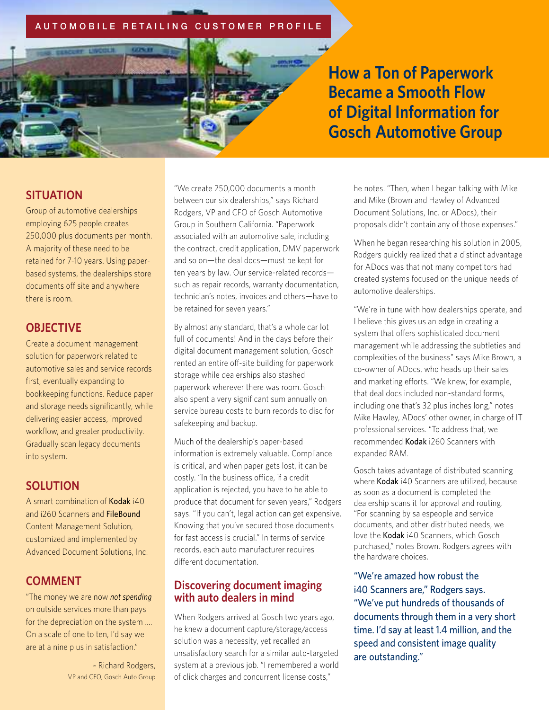### **AUTOMOBILE RETAILING CUSTOMER PROFILE**



**How a Ton of Paperwork Became a Smooth Flow of Digital Information for Gosch Automotive Group**

## **SITUATION**

Group of automotive dealerships employing 625 people creates 250,000 plus documents per month. A majority of these need to be retained for 7-10 years. Using paperbased systems, the dealerships store documents off site and anywhere there is room.

### **OBJECTIVE**

Create a document management solution for paperwork related to automotive sales and service records first, eventually expanding to bookkeeping functions. Reduce paper and storage needs significantly, while delivering easier access, improved workflow, and greater productivity. Gradually scan legacy documents into system.

## **SOLUTION**

A smart combination of Kodak i40 and i260 Scanners and FileBound Content Management Solution, customized and implemented by Advanced Document Solutions, Inc.

## **COMMENT**

"The money we are now *not spending* on outside services more than pays for the depreciation on the system …. On a scale of one to ten, I'd say we are at a nine plus in satisfaction."

> ~ Richard Rodgers, VP and CFO, Gosch Auto Group

"We create 250,000 documents a month between our six dealerships," says Richard Rodgers, VP and CFO of Gosch Automotive Group in Southern California. "Paperwork associated with an automotive sale, including the contract, credit application, DMV paperwork and so on—the deal docs—must be kept for ten years by law. Our service-related records such as repair records, warranty documentation, technician's notes, invoices and others—have to be retained for seven years."

By almost any standard, that's a whole car lot full of documents! And in the days before their digital document management solution, Gosch rented an entire off-site building for paperwork storage while dealerships also stashed paperwork wherever there was room. Gosch also spent a very significant sum annually on service bureau costs to burn records to disc for safekeeping and backup.

Much of the dealership's paper-based information is extremely valuable. Compliance is critical, and when paper gets lost, it can be costly. "In the business office, if a credit application is rejected, you have to be able to produce that document for seven years," Rodgers says. "If you can't, legal action can get expensive. Knowing that you've secured those documents for fast access is crucial." In terms of service records, each auto manufacturer requires different documentation.

### **Discovering document imaging with auto dealers in mind**

When Rodgers arrived at Gosch two years ago, he knew a document capture/storage/access solution was a necessity, yet recalled an unsatisfactory search for a similar auto-targeted system at a previous job. "I remembered a world of click charges and concurrent license costs,"

he notes. "Then, when I began talking with Mike and Mike (Brown and Hawley of Advanced Document Solutions, Inc. or ADocs), their proposals didn't contain any of those expenses."

When he began researching his solution in 2005, Rodgers quickly realized that a distinct advantage for ADocs was that not many competitors had created systems focused on the unique needs of automotive dealerships.

"We're in tune with how dealerships operate, and I believe this gives us an edge in creating a system that offers sophisticated document management while addressing the subtleties and complexities of the business" says Mike Brown, a co-owner of ADocs, who heads up their sales and marketing efforts. "We knew, for example, that deal docs included non-standard forms, including one that's 32 plus inches long," notes Mike Hawley, ADocs' other owner, in charge of IT professional services. "To address that, we recommended Kodak i260 Scanners with expanded RAM.

Gosch takes advantage of distributed scanning where Kodak i40 Scanners are utilized, because as soon as a document is completed the dealership scans it for approval and routing. "For scanning by salespeople and service documents, and other distributed needs, we love the Kodak i40 Scanners, which Gosch purchased," notes Brown. Rodgers agrees with the hardware choices.

"We're amazed how robust the i40 Scanners are," Rodgers says. "We've put hundreds of thousands of documents through them in a very short time. I'd say at least 1.4 million, and the speed and consistent image quality are outstanding."